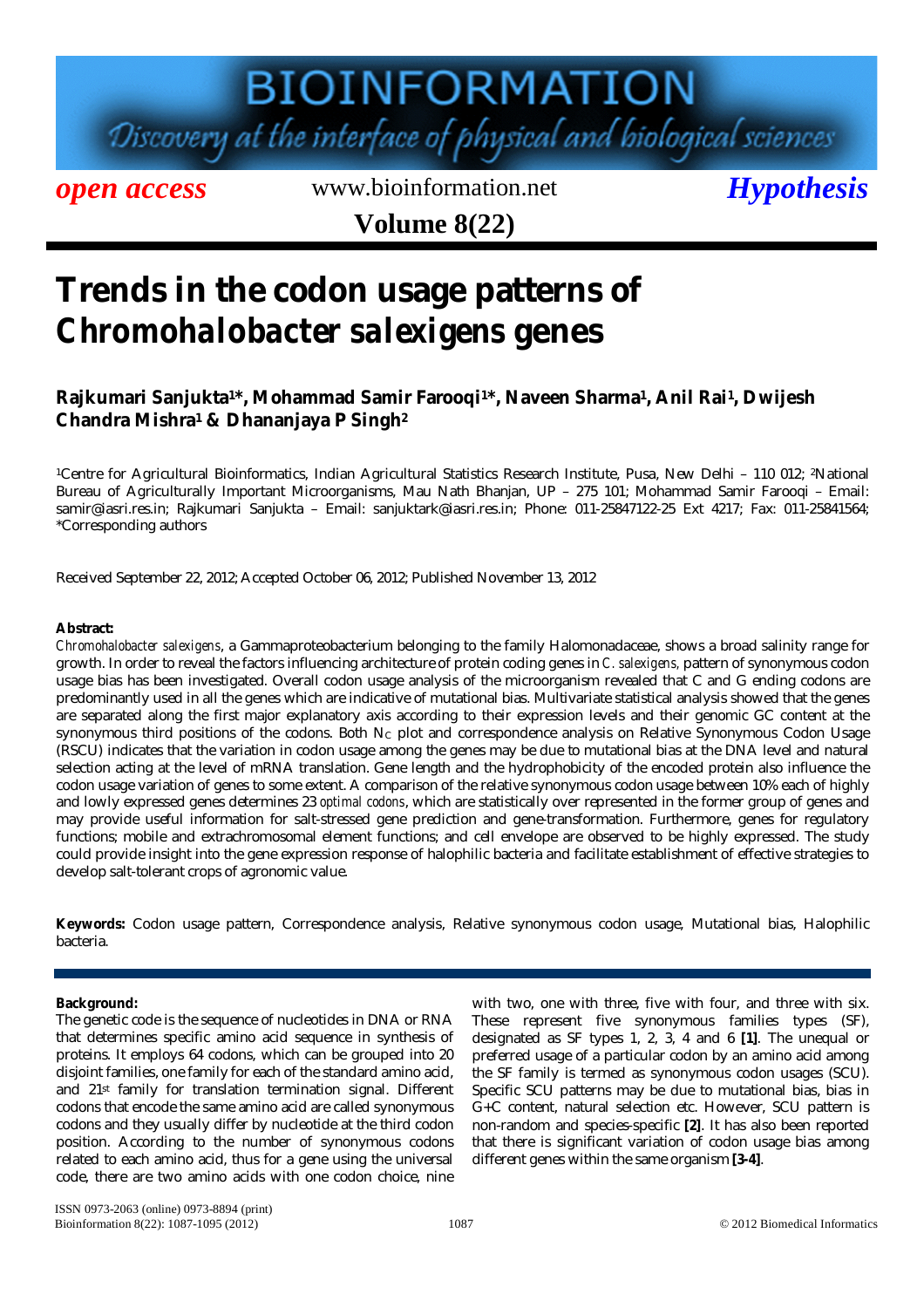# **BIOINFORMATION**

Discovery at the interface of physical and biological sciences

*open access* www.bioinformation.net *Hypothesis* 

**Volume 8(22)**

### **Trends in the codon usage patterns of**  *Chromohalobacter salexigens* **genes**

### **Rajkumari Sanjukta<sup>1</sup>\*, Mohammad Samir Farooqi<sup>1</sup>\*, Naveen Sharma<sup>1</sup> , Anil Rai<sup>1</sup> , Dwijesh Chandra Mishra<sup>1</sup> & Dhananjaya P Singh<sup>2</sup>**

<sup>1</sup>Centre for Agricultural Bioinformatics, Indian Agricultural Statistics Research Institute, Pusa, New Delhi – 110 012; 2National Bureau of Agriculturally Important Microorganisms, Mau Nath Bhanjan, UP – 275 101; Mohammad Samir Farooqi – Email: samir@iasri.res.in; Rajkumari Sanjukta – Email: sanjuktark@iasri.res.in; Phone: 011-25847122-25 Ext 4217; Fax: 011-25841564; \*Corresponding authors

Received September 22, 2012; Accepted October 06, 2012; Published November 13, 2012

#### **Abstract:**

*Chromohalobacter salexigens*, a Gammaproteobacterium belonging to the family Halomonadaceae, shows a broad salinity range for growth. In order to reveal the factors influencing architecture of protein coding genes in *C. salexigens,* pattern of synonymous codon usage bias has been investigated. Overall codon usage analysis of the microorganism revealed that C and G ending codons are predominantly used in all the genes which are indicative of mutational bias. Multivariate statistical analysis showed that the genes are separated along the first major explanatory axis according to their expression levels and their genomic GC content at the synonymous third positions of the codons. Both  $N_c$  plot and correspondence analysis on Relative Synonymous Codon Usage (RSCU) indicates that the variation in codon usage among the genes may be due to mutational bias at the DNA level and natural selection acting at the level of mRNA translation. Gene length and the hydrophobicity of the encoded protein also influence the codon usage variation of genes to some extent. A comparison of the relative synonymous codon usage between 10% each of highly and lowly expressed genes determines 23 *optimal codons*, which are statistically over represented in the former group of genes and may provide useful information for salt-stressed gene prediction and gene-transformation. Furthermore, genes for regulatory functions; mobile and extrachromosomal element functions; and cell envelope are observed to be highly expressed. The study could provide insight into the gene expression response of halophilic bacteria and facilitate establishment of effective strategies to develop salt-tolerant crops of agronomic value.

**Keywords:** Codon usage pattern, Correspondence analysis, Relative synonymous codon usage, Mutational bias, Halophilic bacteria.

#### **Background:**

The genetic code is the sequence of nucleotides in DNA or RNA that determines specific amino acid sequence in synthesis of proteins. It employs 64 codons, which can be grouped into 20 disjoint families, one family for each of the standard amino acid, and 21st family for translation termination signal. Different codons that encode the same amino acid are called synonymous codons and they usually differ by nucleotide at the third codon position. According to the number of synonymous codons related to each amino acid, thus for a gene using the universal code, there are two amino acids with one codon choice, nine with two, one with three, five with four, and three with six. These represent five synonymous families types (SF), designated as SF types 1, 2, 3, 4 and 6 **[1]**. The unequal or preferred usage of a particular codon by an amino acid among the SF family is termed as synonymous codon usages (SCU). Specific SCU patterns may be due to mutational bias, bias in G+C content, natural selection etc. However, SCU pattern is non-random and species-specific **[2]**. It has also been reported that there is significant variation of codon usage bias among different genes within the same organism **[3-4]**.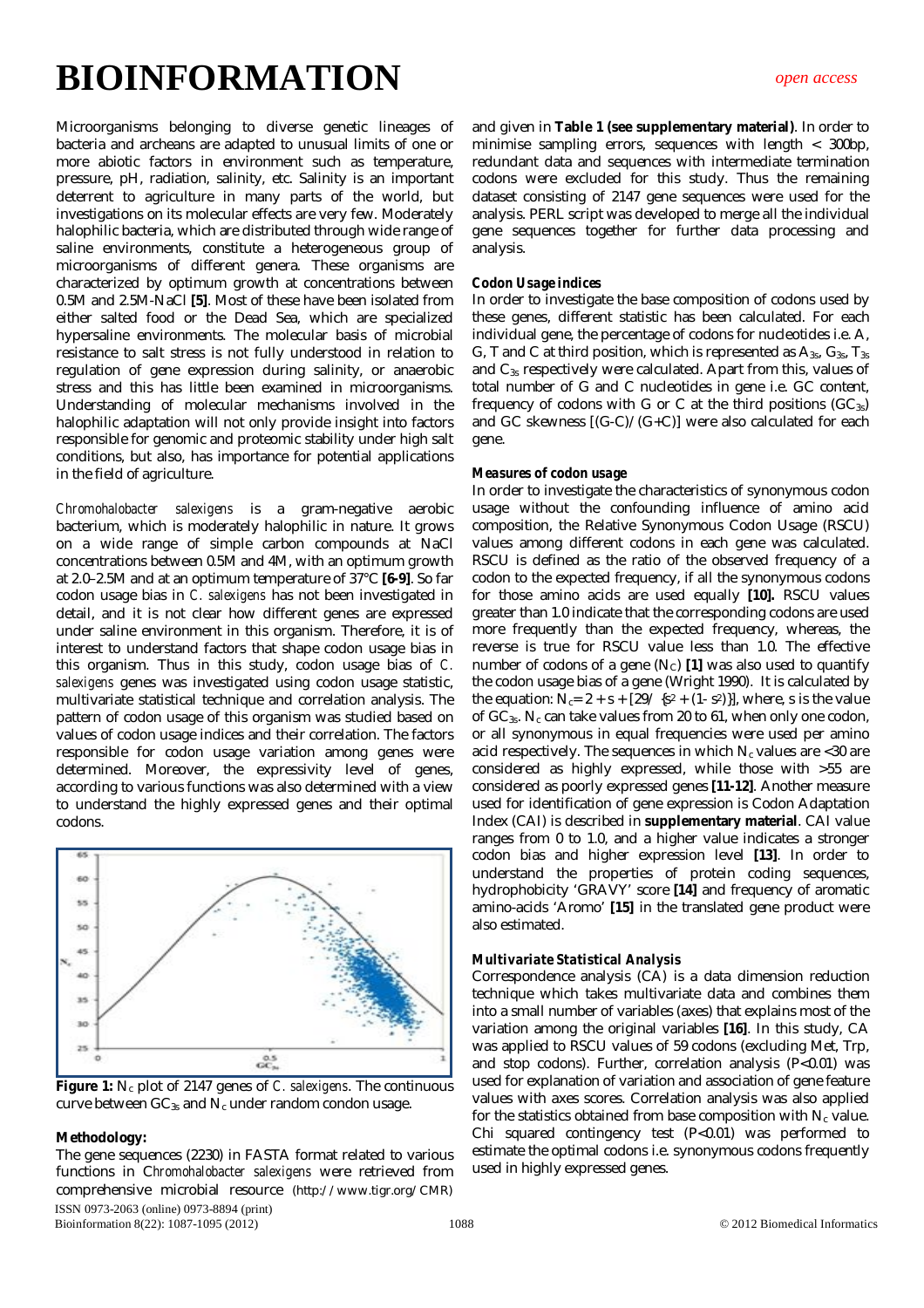Microorganisms belonging to diverse genetic lineages of bacteria and archeans are adapted to unusual limits of one or more abiotic factors in environment such as temperature, pressure, pH, radiation, salinity, etc. Salinity is an important deterrent to agriculture in many parts of the world, but investigations on its molecular effects are very few. Moderately halophilic bacteria, which are distributed through wide range of saline environments, constitute a heterogeneous group of microorganisms of different genera. These organisms are characterized by optimum growth at concentrations between 0.5M and 2.5M-NaCl **[5]**. Most of these have been isolated from either salted food or the Dead Sea, which are specialized hypersaline environments. The molecular basis of microbial resistance to salt stress is not fully understood in relation to regulation of gene expression during salinity, or anaerobic stress and this has little been examined in microorganisms. Understanding of molecular mechanisms involved in the halophilic adaptation will not only provide insight into factors responsible for genomic and proteomic stability under high salt conditions, but also, has importance for potential applications in the field of agriculture.

*Chromohalobacter salexigens* is a gram-negative aerobic bacterium, which is moderately halophilic in nature. It grows on a wide range of simple carbon compounds at NaCl concentrations between 0.5M and 4M, with an optimum growth at 2.0–2.5M and at an optimum temperature of 37°C **[6-9]**. So far codon usage bias in *C. salexigens* has not been investigated in detail, and it is not clear how different genes are expressed under saline environment in this organism. Therefore, it is of interest to understand factors that shape codon usage bias in this organism. Thus in this study, codon usage bias of *C. salexigens* genes was investigated using codon usage statistic, multivariate statistical technique and correlation analysis. The pattern of codon usage of this organism was studied based on values of codon usage indices and their correlation. The factors responsible for codon usage variation among genes were determined. Moreover, the expressivity level of genes, according to various functions was also determined with a view to understand the highly expressed genes and their optimal codons.



Figure 1: N<sub>c</sub> plot of 2147 genes of *C. salexigens*. The continuous curve between  $GC_{3s}$  and  $N_c$  under random condon usage.

#### **Methodology:**

ISSN 0973-2063 (online) 0973-8894 (print) Bioinformation 8(22): 1087-1095 (2012) 1088 C 2012 Biomedical Informatics The gene sequences (2230) in FASTA format related to various functions in C*hromohalobacter salexigens* were retrieved from comprehensive microbial resource (http://www.tigr.org/CMR)

and given in **Table 1 (see supplementary material)**. In order to minimise sampling errors, sequences with length < 300bp, redundant data and sequences with intermediate termination codons were excluded for this study. Thus the remaining dataset consisting of 2147 gene sequences were used for the analysis. PERL script was developed to merge all the individual gene sequences together for further data processing and analysis.

#### *Codon Usage indices*

In order to investigate the base composition of codons used by these genes, different statistic has been calculated. For each individual gene, the percentage of codons for nucleotides i.e. A, G, T and C at third position, which is represented as  $A_{3s}$ ,  $G_{3s}$ ,  $T_{3s}$ and C3s respectively were calculated. Apart from this, values of total number of G and C nucleotides in gene i.e. GC content, frequency of codons with G or C at the third positions  $(GC_{3s})$ and GC skewness [(G-C)/(G+C)] were also calculated for each gene.

#### *Measures of codon usage*

In order to investigate the characteristics of synonymous codon usage without the confounding influence of amino acid composition, the Relative Synonymous Codon Usage (RSCU) values among different codons in each gene was calculated. RSCU is defined as the ratio of the observed frequency of a codon to the expected frequency, if all the synonymous codons for those amino acids are used equally **[10].** RSCU values greater than 1.0 indicate that the corresponding codons are used more frequently than the expected frequency, whereas, the reverse is true for RSCU value less than 1.0. The effective number of codons of a gene (N<sub>C</sub>) [1] was also used to quantify the codon usage bias of a gene (Wright 1990). It is calculated by the equation:  $N_c = 2 + s + [29 / {s^2 + (1 - s^2)}]$ , where, s is the value of  $GC_{3s}$ . N<sub>c</sub> can take values from 20 to 61, when only one codon, or all synonymous in equal frequencies were used per amino acid respectively. The sequences in which  $N_c$  values are <30 are considered as highly expressed, while those with >55 are considered as poorly expressed genes **[11-12]**. Another measure used for identification of gene expression is Codon Adaptation Index (CAI) is described in **supplementary material**. CAI value ranges from 0 to 1.0, and a higher value indicates a stronger codon bias and higher expression level **[13]**. In order to understand the properties of protein coding sequences, hydrophobicity 'GRAVY' score **[14]** and frequency of aromatic amino-acids 'Aromo' **[15]** in the translated gene product were also estimated.

#### *Multivariate Statistical Analysis*

Correspondence analysis (CA) is a data dimension reduction technique which takes multivariate data and combines them into a small number of variables (axes) that explains most of the variation among the original variables **[16]**. In this study, CA was applied to RSCU values of 59 codons (excluding Met, Trp, and stop codons). Further, correlation analysis (P<0.01) was used for explanation of variation and association of gene feature values with axes scores. Correlation analysis was also applied for the statistics obtained from base composition with  $N_c$  value. Chi squared contingency test (P<0.01) was performed to estimate the optimal codons i.e. synonymous codons frequently used in highly expressed genes.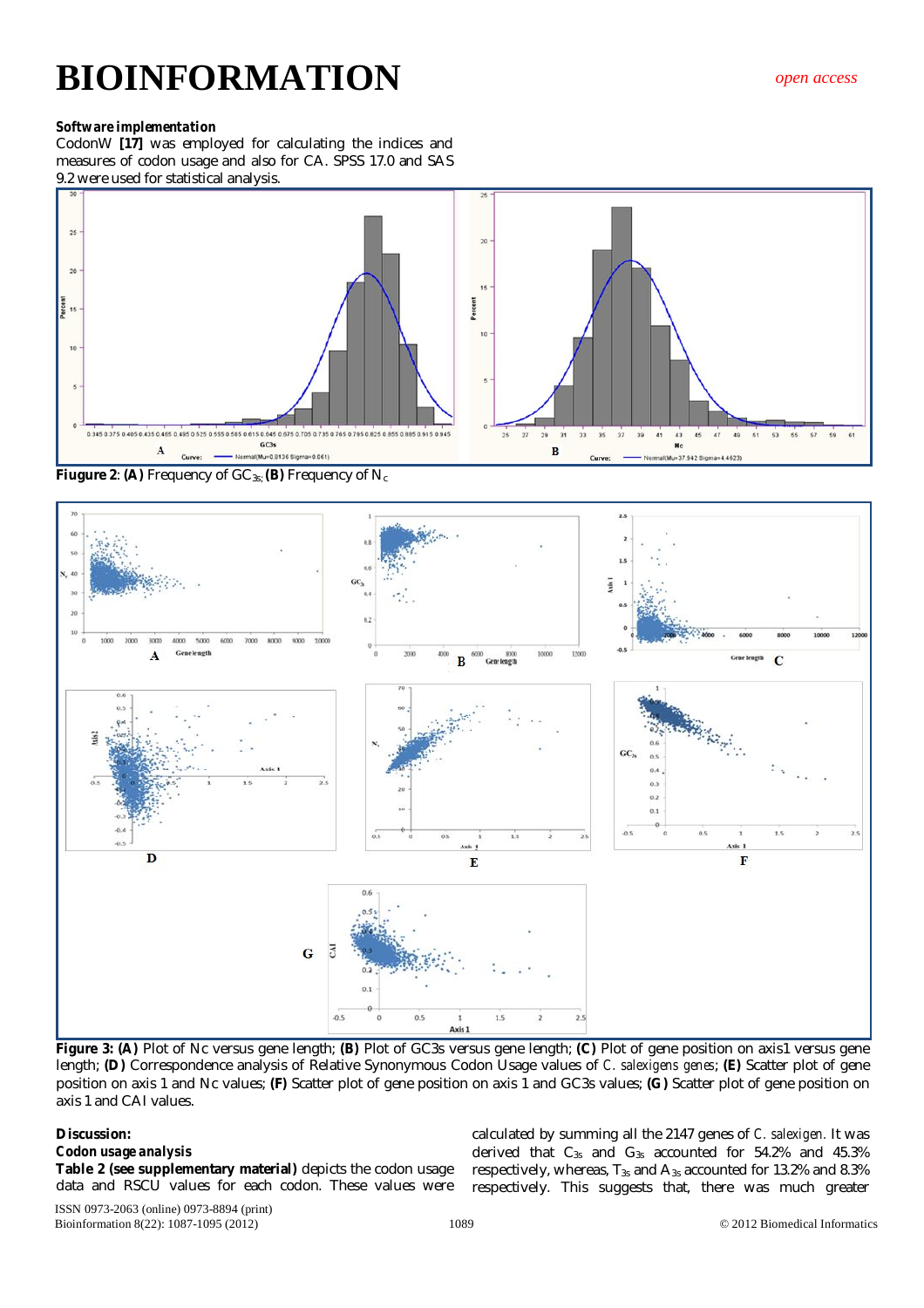#### *Software implementation*

CodonW **[17]** was employed for calculating the indices and measures of codon usage and also for CA. SPSS 17.0 and SAS 9.2 were used for statistical analysis.



**Fiugure 2: (A)** Frequency of GC<sub>3s;</sub> (B) Frequency of N<sub>c</sub>



**Figure 3: (A)** Plot of Nc versus gene length; **(B)** Plot of GC3s versus gene length; **(C)** Plot of gene position on axis1 versus gene length; **(D)** Correspondence analysis of Relative Synonymous Codon Usage values of *C. salexigens genes*; **(E)** Scatter plot of gene position on axis 1 and Nc values; **(F)** Scatter plot of gene position on axis 1 and GC3s values; **(G)** Scatter plot of gene position on axis 1 and CAI values.

#### **Discussion:**

#### *Codon usage analysis*

**Table 2 (see supplementary material)** depicts the codon usage data and RSCU values for each codon. These values were

ISSN 0973-2063 (online) 0973-8894 (print) Bioinformation 8(22): 1087-1095 (2012) 1089 1089 02012 Biomedical Informatics

calculated by summing all the 2147 genes of *C. salexigen.* It was derived that  $C_{3s}$  and  $G_{3s}$  accounted for 54.2% and 45.3% respectively, whereas,  $T_{3s}$  and  $A_{3s}$  accounted for 13.2% and 8.3% respectively. This suggests that, there was much greater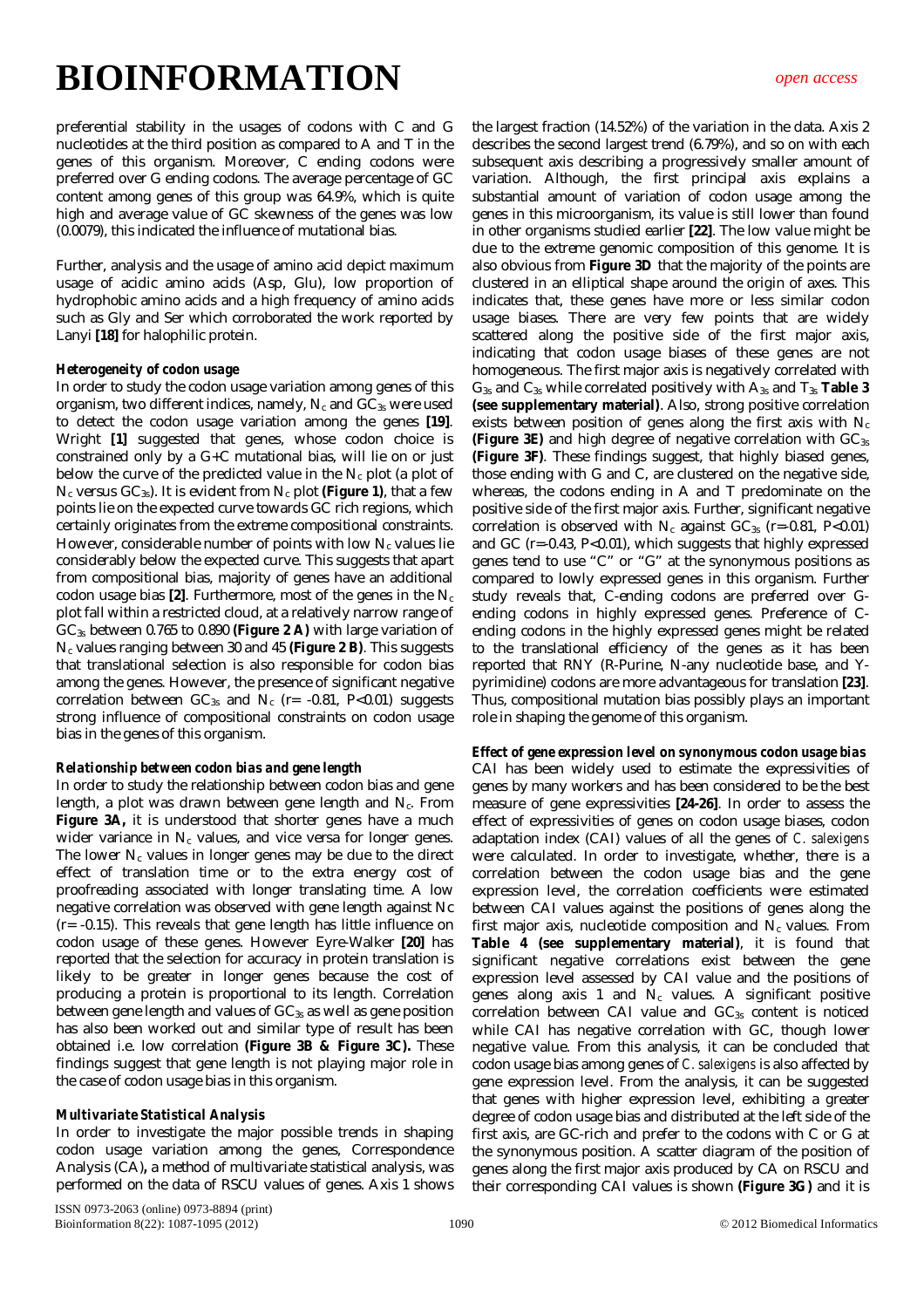preferential stability in the usages of codons with C and G nucleotides at the third position as compared to A and T in the genes of this organism. Moreover, C ending codons were preferred over G ending codons. The average percentage of GC content among genes of this group was 64.9%, which is quite high and average value of GC skewness of the genes was low (0.0079), this indicated the influence of mutational bias.

Further, analysis and the usage of amino acid depict maximum usage of acidic amino acids (Asp, Glu), low proportion of hydrophobic amino acids and a high frequency of amino acids such as Gly and Ser which corroborated the work reported by Lanyi **[18]** for halophilic protein.

#### *Heterogeneity of codon usage*

In order to study the codon usage variation among genes of this organism, two different indices, namely,  $N_c$  and  $GC_{3s}$  were used to detect the codon usage variation among the genes **[19]**. Wright **[1]** suggested that genes, whose codon choice is constrained only by a G+C mutational bias, will lie on or just below the curve of the predicted value in the  $N_c$  plot (a plot of  $N_c$  versus  $GC_{3s}$ ). It is evident from  $N_c$  plot (Figure 1), that a few points lie on the expected curve towards GC rich regions, which certainly originates from the extreme compositional constraints. However, considerable number of points with low  $N_c$  values lie considerably below the expected curve. This suggests that apart from compositional bias, majority of genes have an additional codon usage bias  $[2]$ . Furthermore, most of the genes in the  $N_c$ plot fall within a restricted cloud, at a relatively narrow range of GC3s between 0.765 to 0.890 **(Figure 2 A)** with large variation of N<sup>c</sup> values ranging between 30 and 45 **(Figure 2 B)**. This suggests that translational selection is also responsible for codon bias among the genes. However, the presence of significant negative correlation between  $GC_{3s}$  and  $N_c$  (r= -0.81, P<0.01) suggests strong influence of compositional constraints on codon usage bias in the genes of this organism.

#### *Relationship between codon bias and gene length*

In order to study the relationship between codon bias and gene length, a plot was drawn between gene length and N<sub>c</sub>. From **Figure 3A, it is understood that shorter genes have a much** wider variance in  $N_c$  values, and vice versa for longer genes. The lower  $N_c$  values in longer genes may be due to the direct effect of translation time or to the extra energy cost of proofreading associated with longer translating time. A low negative correlation was observed with gene length against Nc (r= -0.15). This reveals that gene length has little influence on codon usage of these genes. However Eyre-Walker **[20]** has reported that the selection for accuracy in protein translation is likely to be greater in longer genes because the cost of producing a protein is proportional to its length. Correlation between gene length and values of  $GC_{3s}$  as well as gene position has also been worked out and similar type of result has been obtained i.e. low correlation **(Figure 3B & Figure 3C).** These findings suggest that gene length is not playing major role in the case of codon usage bias in this organism.

#### *Multivariate Statistical Analysis*

In order to investigate the major possible trends in shaping codon usage variation among the genes, Correspondence Analysis (CA)*,* a method of multivariate statistical analysis, was performed on the data of RSCU values of genes. Axis 1 shows the largest fraction (14.52%) of the variation in the data. Axis 2 describes the second largest trend (6.79%), and so on with each subsequent axis describing a progressively smaller amount of variation. Although, the first principal axis explains a substantial amount of variation of codon usage among the genes in this microorganism, its value is still lower than found in other organisms studied earlier **[22]**. The low value might be due to the extreme genomic composition of this genome. It is also obvious from **Figure 3D** that the majority of the points are clustered in an elliptical shape around the origin of axes. This indicates that, these genes have more or less similar codon usage biases. There are very few points that are widely scattered along the positive side of the first major axis, indicating that codon usage biases of these genes are not homogeneous. The first major axis is negatively correlated with G3s and C3s while correlated positively with A3s and T3s **Table 3 (see supplementary material)**. Also, strong positive correlation exists between position of genes along the first axis with  $N_c$ **(Figure 3E)** and high degree of negative correlation with GC<sub>3s</sub> **(Figure 3F)**. These findings suggest, that highly biased genes, those ending with G and C, are clustered on the negative side, whereas, the codons ending in A and T predominate on the positive side of the first major axis. Further, significant negative correlation is observed with  $N_c$  against  $GC_{3s}$  (r=-0.81, P<0.01) and GC (r=-0.43, P<0.01), which suggests that highly expressed genes tend to use "C" or "G" at the synonymous positions as compared to lowly expressed genes in this organism. Further study reveals that, C-ending codons are preferred over Gending codons in highly expressed genes. Preference of Cending codons in the highly expressed genes might be related to the translational efficiency of the genes as it has been reported that RNY (R-Purine, N-any nucleotide base, and Ypyrimidine) codons are more advantageous for translation **[23]**. Thus, compositional mutation bias possibly plays an important role in shaping the genome of this organism.

#### *Effect of gene expression level on synonymous codon usage bias*

CAI has been widely used to estimate the expressivities of genes by many workers and has been considered to be the best measure of gene expressivities **[24-26]**. In order to assess the effect of expressivities of genes on codon usage biases, codon adaptation index (CAI) values of all the genes of *C. salexigens* were calculated. In order to investigate, whether, there is a correlation between the codon usage bias and the gene expression level, the correlation coefficients were estimated between CAI values against the positions of genes along the first major axis, nucleotide composition and  $N_c$  values. From **Table 4 (see supplementary material)**, it is found that significant negative correlations exist between the gene expression level assessed by CAI value and the positions of genes along axis 1 and  $N_c$  values. A significant positive correlation between CAI value and  $GC_{3s}$  content is noticed while CAI has negative correlation with GC, though lower negative value. From this analysis, it can be concluded that codon usage bias among genes of *C. salexigens* is also affected by gene expression level. From the analysis, it can be suggested that genes with higher expression level, exhibiting a greater degree of codon usage bias and distributed at the left side of the first axis, are GC-rich and prefer to the codons with C or G at the synonymous position. A scatter diagram of the position of genes along the first major axis produced by CA on RSCU and their corresponding CAI values is shown **(Figure 3G)** and it is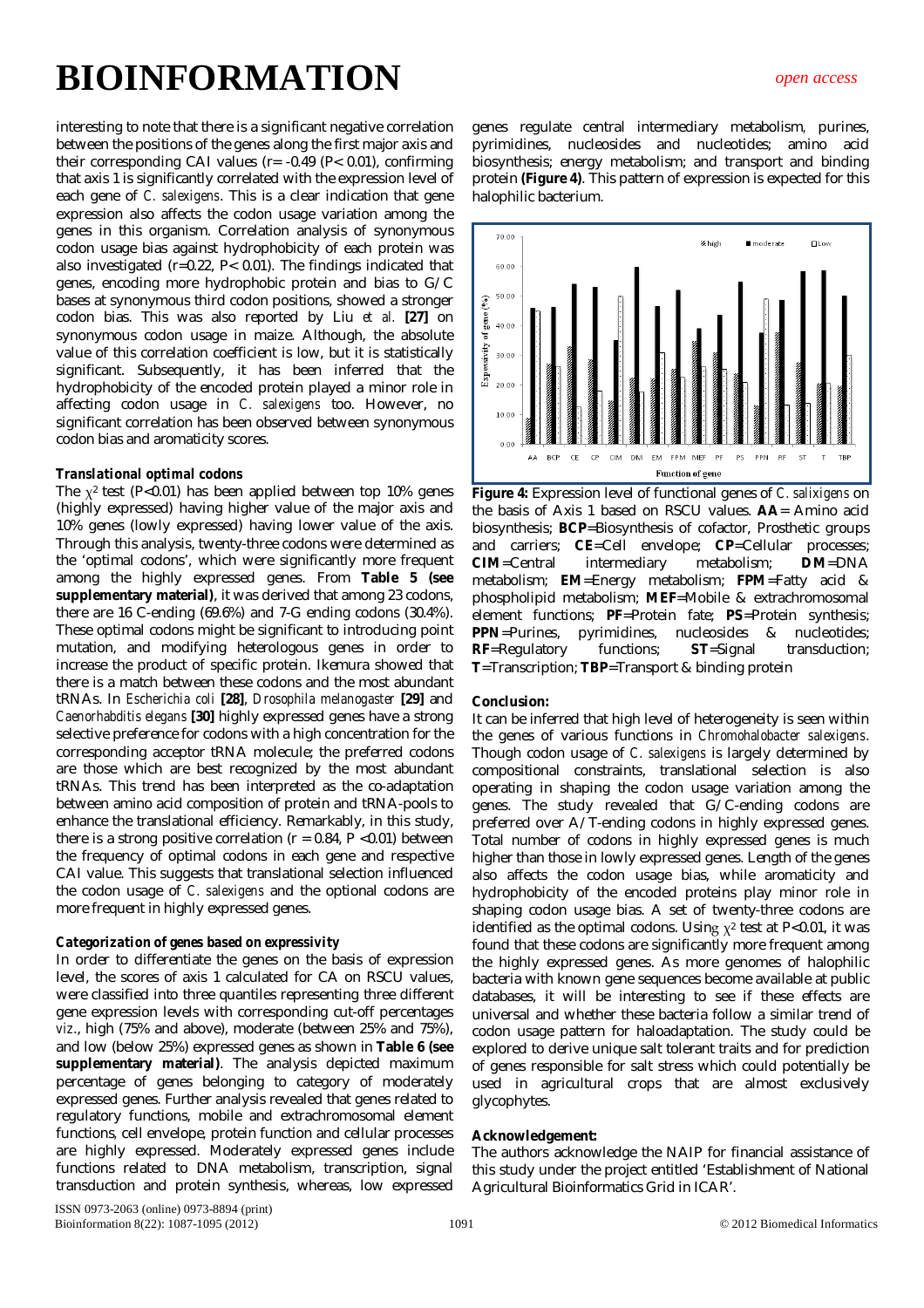interesting to note that there is a significant negative correlation between the positions of the genes along the first major axis and their corresponding CAI values (r= -0.49 (P< 0.01), confirming that axis 1 is significantly correlated with the expression level of each gene of *C. salexigens*. This is a clear indication that gene expression also affects the codon usage variation among the genes in this organism. Correlation analysis of synonymous codon usage bias against hydrophobicity of each protein was also investigated (r=0.22, P< 0.01). The findings indicated that genes, encoding more hydrophobic protein and bias to G/C bases at synonymous third codon positions, showed a stronger codon bias. This was also reported by Liu *et al.* **[27]** on synonymous codon usage in maize. Although, the absolute value of this correlation coefficient is low, but it is statistically significant. Subsequently, it has been inferred that the hydrophobicity of the encoded protein played a minor role in affecting codon usage in *C. salexigens* too. However, no significant correlation has been observed between synonymous codon bias and aromaticity scores.

#### *Translational optimal codons*

The  $x^2$  test (P<0.01) has been applied between top 10% genes (highly expressed) having higher value of the major axis and 10% genes (lowly expressed) having lower value of the axis. Through this analysis, twenty-three codons were determined as the 'optimal codons', which were significantly more frequent among the highly expressed genes. From **Table 5 (see supplementary material)**, it was derived that among 23 codons, there are 16 C-ending (69.6%) and 7-G ending codons (30.4%). These optimal codons might be significant to introducing point mutation, and modifying heterologous genes in order to increase the product of specific protein. Ikemura showed that there is a match between these codons and the most abundant tRNAs. In *Escherichia coli* **[28]**, *Drosophila melanogaster* **[29]** and *Caenorhabditis elegans* **[30]** highly expressed genes have a strong selective preference for codons with a high concentration for the corresponding acceptor tRNA molecule; the preferred codons are those which are best recognized by the most abundant tRNAs. This trend has been interpreted as the co-adaptation between amino acid composition of protein and tRNA-pools to enhance the translational efficiency. Remarkably, in this study, there is a strong positive correlation ( $r = 0.84$ ,  $P < 0.01$ ) between the frequency of optimal codons in each gene and respective CAI value. This suggests that translational selection influenced the codon usage of *C. salexigens* and the optional codons are more frequent in highly expressed genes.

#### *Categorization of genes based on expressivity*

In order to differentiate the genes on the basis of expression level, the scores of axis 1 calculated for CA on RSCU values, were classified into three quantiles representing three different gene expression levels with corresponding cut-off percentages *viz*., high (75% and above), moderate (between 25% and 75%), and low (below 25%) expressed genes as shown in **Table 6 (see supplementary material)**. The analysis depicted maximum percentage of genes belonging to category of moderately expressed genes. Further analysis revealed that genes related to regulatory functions, mobile and extrachromosomal element functions*,* cell envelope*,* protein function and cellular processes are highly expressed. Moderately expressed genes include functions related to DNA metabolism, transcription, signal transduction and protein synthesis, whereas, low expressed

genes regulate central intermediary metabolism*,* purines, pyrimidines, nucleosides and nucleotides; amino acid biosynthesis; energy metabolism; and transport and binding protein **(Figure 4)**. This pattern of expression is expected for this halophilic bacterium.



**Figure 4:** Expression level of functional genes of *C. salixigens* on the basis of Axis 1 based on RSCU values. **AA**= Amino acid biosynthesis; **BCP**=Biosynthesis of cofactor, Prosthetic groups and carriers; **CE**=Cell envelope; **CP**=Cellular processes; **CIM**=Central intermediary metabolism; **DM**=DNA metabolism; **EM**=Energy metabolism; **FPM**=Fatty acid & phospholipid metabolism; **MEF**=Mobile & extrachromosomal element functions; **PF**=Protein fate; **PS**=Protein synthesis; **PPN**=Purines, pyrimidines, nucleosides & nucleotides; **RF**=Regulatory functions; **ST**=Signal transduction; **T**=Transcription; **TBP**=Transport & binding protein

#### **Conclusion:**

It can be inferred that high level of heterogeneity is seen within the genes of various functions in *Chromohalobacter salexigens*. Though codon usage of *C. salexigens* is largely determined by compositional constraints, translational selection is also operating in shaping the codon usage variation among the genes. The study revealed that G/C-ending codons are preferred over A/T-ending codons in highly expressed genes. Total number of codons in highly expressed genes is much higher than those in lowly expressed genes. Length of the genes also affects the codon usage bias, while aromaticity and hydrophobicity of the encoded proteins play minor role in shaping codon usage bias. A set of twenty-three codons are identified as the optimal codons. Using  $x^2$  test at P<0.01, it was found that these codons are significantly more frequent among the highly expressed genes. As more genomes of halophilic bacteria with known gene sequences become available at public databases, it will be interesting to see if these effects are universal and whether these bacteria follow a similar trend of codon usage pattern for haloadaptation. The study could be explored to derive unique salt tolerant traits and for prediction of genes responsible for salt stress which could potentially be used in agricultural crops that are almost exclusively glycophytes.

#### **Acknowledgement:**

The authors acknowledge the NAIP for financial assistance of this study under the project entitled 'Establishment of National Agricultural Bioinformatics Grid in ICAR'.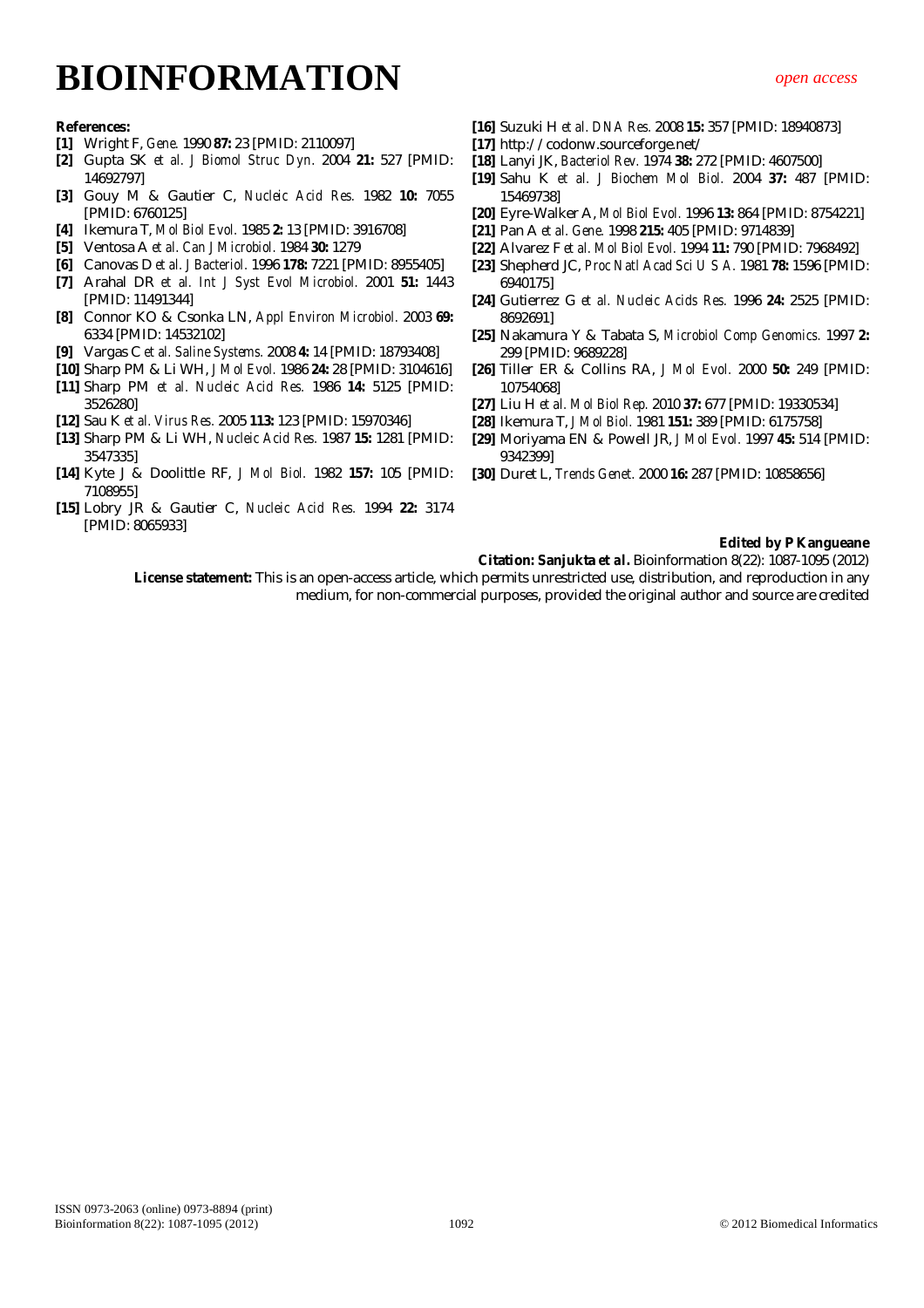#### **References:**

- **[1]** Wright F, *Gene.* 1990 **87:** 23 [PMID: 2110097]
- **[2]** Gupta SK *et al. J Biomol Struc Dyn.* 2004 **21:** 527 [PMID: 14692797]
- **[3]** Gouy M & Gautier C, *Nucleic Acid Res.* 1982 **10:** 7055 [PMID: 6760125]
- **[4]** Ikemura T, *Mol Biol Evol.* 1985 **2:** 13 [PMID: 3916708]
- **[5]** Ventosa A *et al. Can J Microbiol.* 1984 **30:** 1279
- **[6]** Canovas D *et al. J Bacteriol.* 1996 **178:** 7221 [PMID: 8955405]
- **[7]** Arahal DR *et al. Int J Syst Evol Microbiol.* 2001 **51:** 1443 [PMID: 11491344]
- **[8]** Connor KO & Csonka LN, *Appl Environ Microbiol.* 2003 **69:** 6334 [PMID: 14532102]
- **[9]** Vargas C *et al. Saline Systems.* 2008 **4:** 14 [PMID: 18793408]
- **[10]** Sharp PM & Li WH, *J Mol Evol.* 1986 **24:** 28 [PMID: 3104616]
- **[11]** Sharp PM *et al. Nucleic Acid Res.* 1986 **14:** 5125 [PMID: 3526280]
- **[12]** Sau K *et al. Virus Res.* 2005 **113:** 123 [PMID: 15970346]
- **[13]** Sharp PM & Li WH, *Nucleic Acid Res.* 1987 **15:** 1281 [PMID: 3547335]
- **[14]** Kyte J & Doolittle RF, *J Mol Biol.* 1982 **157:** 105 [PMID: 7108955]
- **[15]** Lobry JR & Gautier C, *Nucleic Acid Res.* 1994 **22:** 3174 [PMID: 8065933]
- **[16]** Suzuki H *et al. DNA Res.* 2008 **15:** 357 [PMID: 18940873]
- **[17]** http://codonw.sourceforge.net/
- **[18]** Lanyi JK, *Bacteriol Rev.* 1974 **38:** 272 [PMID: 4607500]
- **[19]** Sahu K *et al. J Biochem Mol Biol.* 2004 **37:** 487 [PMID: 15469738]
- **[20]** Eyre-Walker A, *Mol Biol Evol.* 1996 **13:** 864 [PMID: 8754221]
- **[21]** Pan A *et al. Gene.* 1998 **215:** 405 [PMID: 9714839]
- **[22]** Alvarez F *et al. Mol Biol Evol.* 1994 **11:** 790 [PMID: 7968492]
- **[23]** Shepherd JC, *Proc Natl Acad Sci U S A.* 1981 **78:** 1596 [PMID: 6940175]
- **[24]** Gutierrez G *et al. Nucleic Acids Res.* 1996 **24:** 2525 [PMID: 8692691]
- **[25]** Nakamura Y & Tabata S, *Microbiol Comp Genomics.* 1997 **2:** 299 [PMID: 9689228]
- **[26]** Tiller ER & Collins RA, *J Mol Evol.* 2000 **50:** 249 [PMID: 10754068]
- **[27]** Liu H *et al. Mol Biol Rep.* 2010 **37:** 677 [PMID: 19330534]
- **[28]** Ikemura T, *J Mol Biol.* 1981 **151:** 389 [PMID: 6175758]
- **[29]** Moriyama EN & Powell JR, *J Mol Evol.* 1997 **45:** 514 [PMID: 9342399]
- **[30]** Duret L, *Trends Genet.* 2000 **16:** 287 [PMID: 10858656]

#### **Edited by P Kangueane**

**Citation: Sanjukta** *et al***.** Bioinformation 8(22): 1087-1095 (2012)

**License statement:** This is an open-access article, which permits unrestricted use, distribution, and reproduction in any medium, for non-commercial purposes, provided the original author and source are credited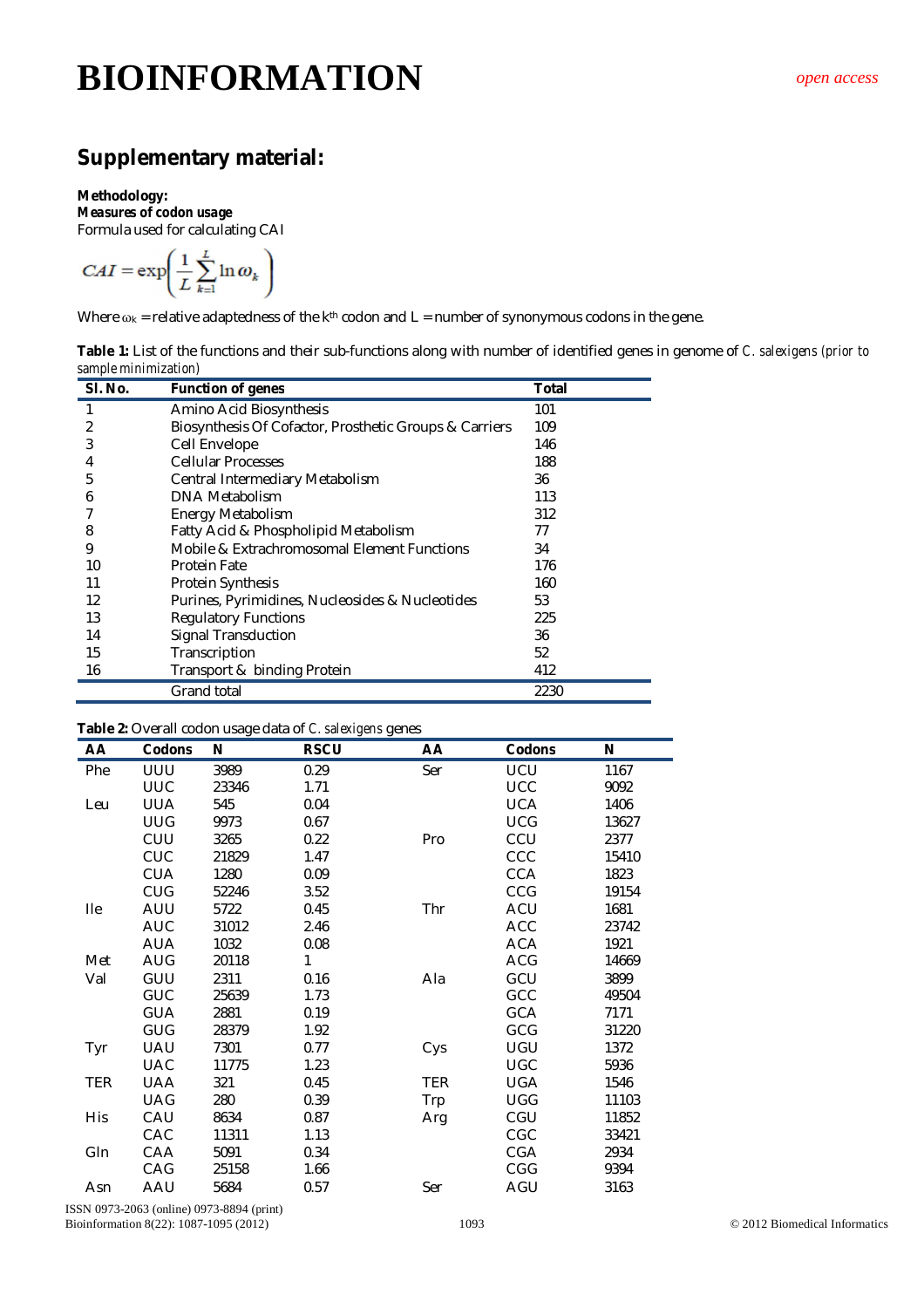### **Supplementary material:**

#### **Methodology:**

*Measures of codon usage*

Formula used for calculating CAI  $\sqrt{1}$  $\sim$ 

$$
CAI = \exp\left(\frac{1}{L}\sum_{k=1}^{\infty}\ln\omega_k\right)
$$

Where  $\omega_k$  = relative adaptedness of the k<sup>th</sup> codon and L = number of synonymous codons in the gene.

| Table 1: List of the functions and their sub-functions along with number of identified genes in genome of C. salexigens (prior to |  |  |  |
|-----------------------------------------------------------------------------------------------------------------------------------|--|--|--|
| sample minimization)                                                                                                              |  |  |  |

| SI. No. | <b>Function of genes</b>                               | <b>Total</b> |
|---------|--------------------------------------------------------|--------------|
|         | Amino Acid Biosynthesis                                | 101          |
| 2       | Biosynthesis Of Cofactor, Prosthetic Groups & Carriers | 109          |
| 3       | Cell Envelope                                          | 146          |
| 4       | <b>Cellular Processes</b>                              | 188          |
| 5       | Central Intermediary Metabolism                        | 36           |
| 6       | DNA Metabolism                                         | 113          |
|         | Energy Metabolism                                      | 312          |
| 8       | Fatty Acid & Phospholipid Metabolism                   | 77           |
| 9       | Mobile & Extrachromosomal Element Functions            | 34           |
| 10      | <b>Protein Fate</b>                                    | 176          |
| 11      | Protein Synthesis                                      | 160          |
| 12      | Purines, Pyrimidines, Nucleosides & Nucleotides        | 53           |
| 13      | <b>Regulatory Functions</b>                            | 225          |
| 14      | <b>Signal Transduction</b>                             | 36           |
| 15      | Transcription                                          | 52           |
| 16      | Transport & binding Protein                            | 412          |
|         | Grand total                                            | 2230         |

#### **Table 2:** Overall codon usage data of *C. salexigens* genes

| AA         | <b>Codons</b> | Ν     | <b>RSCU</b> | AA         | Codons     | N     |
|------------|---------------|-------|-------------|------------|------------|-------|
| Phe        | UUU           | 3989  | 0.29        | Ser        | UCU        | 1167  |
|            | <b>UUC</b>    | 23346 | 1.71        |            | <b>UCC</b> | 9092  |
| Leu        | <b>UUA</b>    | 545   | 0.04        |            | <b>UCA</b> | 1406  |
|            | <b>UUG</b>    | 9973  | 0.67        |            | <b>UCG</b> | 13627 |
|            | CUU           | 3265  | 0.22        | Pro        | CCU        | 2377  |
|            | CUC           | 21829 | 1.47        |            | CCC        | 15410 |
|            | <b>CUA</b>    | 1280  | 0.09        |            | <b>CCA</b> | 1823  |
|            | <b>CUG</b>    | 52246 | 3.52        |            | CCG        | 19154 |
| <b>Ile</b> | AUU           | 5722  | 0.45        | Thr        | ACU        | 1681  |
|            | <b>AUC</b>    | 31012 | 2.46        |            | <b>ACC</b> | 23742 |
|            | <b>AUA</b>    | 1032  | 0.08        |            | <b>ACA</b> | 1921  |
| Met        | AUG           | 20118 | 1           |            | <b>ACG</b> | 14669 |
| Val        | GUU           | 2311  | 0.16        | Ala        | GCU        | 3899  |
|            | GUC           | 25639 | 1.73        |            | GCC        | 49504 |
|            | <b>GUA</b>    | 2881  | 0.19        |            | <b>GCA</b> | 7171  |
|            | GUG           | 28379 | 1.92        |            | GCG        | 31220 |
| Tyr        | UAU           | 7301  | 0.77        | Cys        | UGU        | 1372  |
|            | <b>UAC</b>    | 11775 | 1.23        |            | <b>UGC</b> | 5936  |
| <b>TER</b> | <b>UAA</b>    | 321   | 0.45        | <b>TER</b> | <b>UGA</b> | 1546  |
|            | UAG           | 280   | 0.39        | <b>Trp</b> | <b>UGG</b> | 11103 |
| His        | CAU           | 8634  | 0.87        | Arg        | CGU        | 11852 |
|            | CAC           | 11311 | 1.13        |            | CGC        | 33421 |
| Gln        | CAA           | 5091  | 0.34        |            | <b>CGA</b> | 2934  |
|            | CAG           | 25158 | 1.66        |            | CGG        | 9394  |
| Asn        | AAU           | 5684  | 0.57        | Ser        | AGU        | 3163  |

ISSN 0973-2063 (online) 0973-8894 (print) Bioinformation 8(22): 1087-1095 (2012) 1093 1093 1093 C 2012 Biomedical Information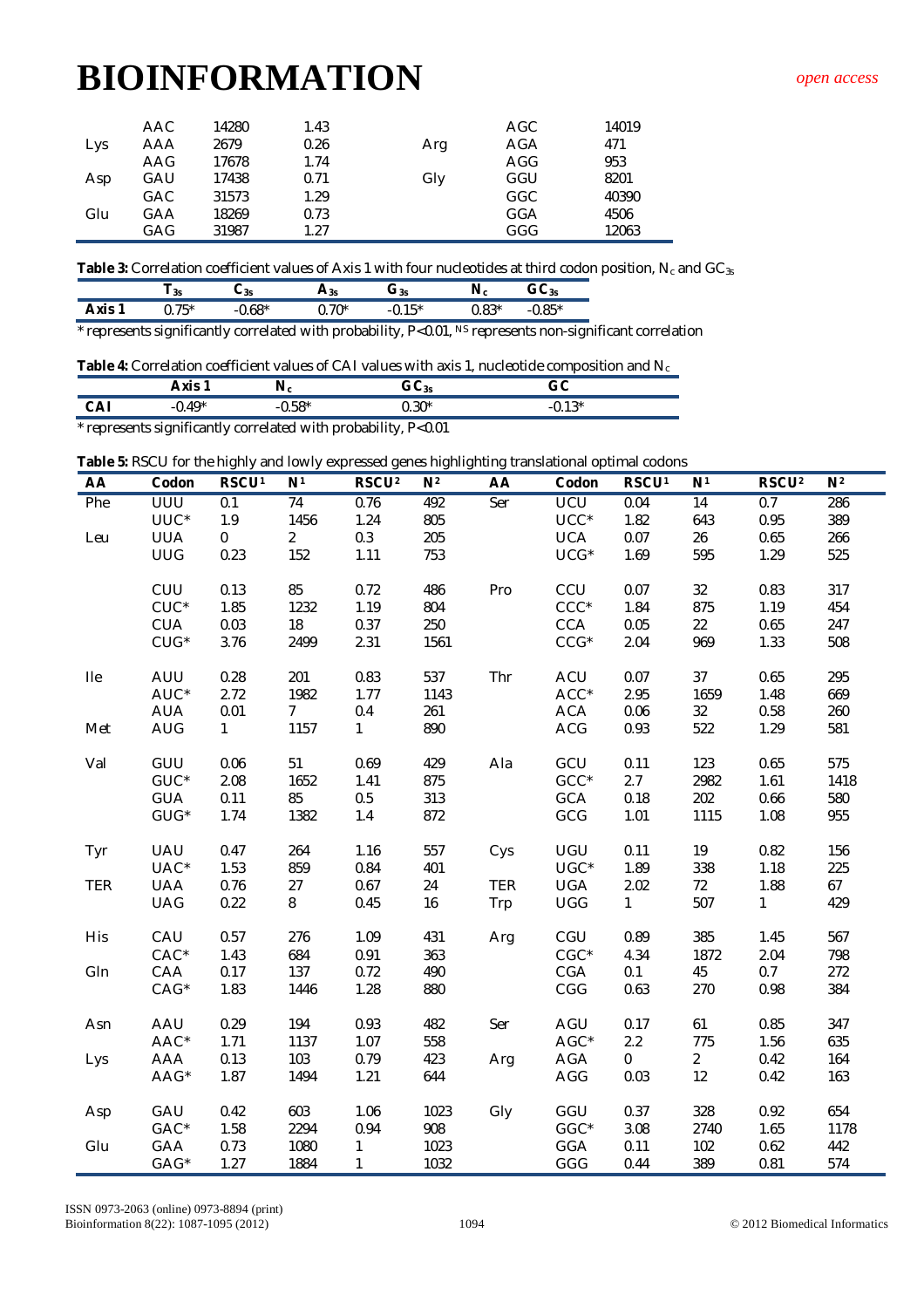| Lys | AAC.<br>AAA | 14280<br>2679 | 1.43<br>0.26 | Arg | AGC<br>AGA | 14019<br>471 |
|-----|-------------|---------------|--------------|-----|------------|--------------|
|     | AAG         | 17678         | 1.74         |     | AGG        | 953          |
| Asp | GAU         | 17438         | 0.71         | Gly | GGU        | 8201         |
|     | <b>GAC</b>  | 31573         | 1.29         |     | GGC        | 40390        |
| Glu | GAA         | 18269         | 0.73         |     | GGA        | 4506         |
|     | GAG         | 31987         | 1.27         |     | GGG        | 12063        |

Table 3: Correlation coefficient values of Axis 1 with four nucleotides at third codon position, N<sub>c</sub> and GC<sub>3s</sub>

|                    | -3S                    | ບ3s | 73s     | $J_{3s}$ |               | $\mathbf{v}_{\mathsf{SS}}$ |
|--------------------|------------------------|-----|---------|----------|---------------|----------------------------|
| <b>MIC</b><br>AND. | $\mathbf{H}$<br>J. I J |     | $J.70*$ |          | 0 ገ*<br>υ. OJ | $OC*$                      |

\* represents significantly correlated with probability, P<0.01, NS represents non-significant correlation

Table 4: Correlation coefficient values of CAI values with axis 1, nucleotide composition and N<sub>c</sub>

|                                                                | Axis 1     | Nc       | GC <sub>35</sub> | GC       |  |  |  |  |
|----------------------------------------------------------------|------------|----------|------------------|----------|--|--|--|--|
| CAI                                                            | -0.49 $^*$ | $-0.58*$ | $0.30*$          | $-0.13*$ |  |  |  |  |
| * represents significantly correlated with probability, P<0.01 |            |          |                  |          |  |  |  |  |

**Table 5:** RSCU for the highly and lowly expressed genes highlighting translational optimal codons

| AA         | Codon                  | ັ<br><b>RSCU1</b> | N <sup>1</sup>  | RSCU <sup>2</sup> | N <sup>2</sup> | AA         | Codon      | RSCU <sup>1</sup> | N <sup>1</sup>  | RSCU <sup>2</sup> | N <sup>2</sup> |
|------------|------------------------|-------------------|-----------------|-------------------|----------------|------------|------------|-------------------|-----------------|-------------------|----------------|
| Phe        | <b>UUU</b>             | 0.1               | $\overline{74}$ | 0.76              | 492            | Ser        | <b>UCU</b> | 0.04              | $\overline{14}$ | 0.7               | 286            |
|            | UUC*                   | 1.9               | 1456            | 1.24              | 805            |            | $UCC^*$    | 1.82              | 643             | 0.95              | 389            |
| Leu        | <b>UUA</b>             | $\mathbf 0$       | 2               | 0.3               | 205            |            | <b>UCA</b> | 0.07              | 26              | 0.65              | 266            |
|            | <b>UUG</b>             | 0.23              | 152             | 1.11              | 753            |            | $UCG*$     | 1.69              | 595             | 1.29              | 525            |
|            |                        |                   |                 |                   |                |            |            |                   |                 |                   |                |
|            | CUU                    | 0.13              | 85              | 0.72              | 486            | Pro        | CCU        | 0.07              | 32              | 0.83              | 317            |
|            | $CUC^*$                | 1.85              | 1232            | 1.19              | 804            |            | $CCC*$     | 1.84              | 875             | 1.19              | 454            |
|            | <b>CUA</b>             | 0.03              | $18\,$          | 0.37              | 250            |            | CCA        | 0.05              | 22              | 0.65              | 247            |
|            | $CUG*$                 | 3.76              | 2499            | 2.31              | 1561           |            | $CCG*$     | 2.04              | 969             | 1.33              | 508            |
| <b>Ile</b> | AUU                    | 0.28              | 201             | 0.83              | 537            | Thr        | ACU        | 0.07              | 37              | 0.65              | 295            |
|            | AUC*                   | 2.72              | 1982            | 1.77              | 1143           |            | $ACC*$     | 2.95              | 1659            | 1.48              | 669            |
|            | <b>AUA</b>             | 0.01              | $7\overline{ }$ | 0.4               | 261            |            | <b>ACA</b> | 0.06              | 32              | 0.58              | 260            |
| Met        | <b>AUG</b>             | $\mathbf{1}$      | 1157            | $\mathbf{1}$      | 890            |            | <b>ACG</b> | 0.93              | 522             | 1.29              | 581            |
| Val        | GUU                    | 0.06              | 51              | 0.69              | 429            | Ala        | GCU        | 0.11              | 123             | 0.65              | 575            |
|            | $GUC^*$                | 2.08              | 1652            | 1.41              | 875            |            | $GCC*$     | 2.7               | 2982            | 1.61              | 1418           |
|            | <b>GUA</b>             | 0.11              | 85              | 0.5               | 313            |            | GCA        | 0.18              | 202             | 0.66              | 580            |
|            | $\mathsf{GUG}^{\star}$ | 1.74              | 1382            | $1.4$             | 872            |            | GCG        | 1.01              | 1115            | 1.08              | 955            |
| Tyr        | UAU                    | 0.47              | 264             | 1.16              | 557            | Cys        | UGU        | 0.11              | 19              | 0.82              | 156            |
|            | UAC*                   | 1.53              | 859             | 0.84              | 401            |            | $UGC*$     | 1.89              | 338             | 1.18              | 225            |
| <b>TER</b> | <b>UAA</b>             | 0.76              | 27              | 0.67              | 24             | <b>TER</b> | <b>UGA</b> | 2.02              | 72              | 1.88              | 67             |
|            | <b>UAG</b>             | 0.22              | 8               | 0.45              | 16             | Trp        | <b>UGG</b> | $\mathbf{1}$      | 507             | $\mathbf{1}$      | 429            |
| His        | CAU                    | 0.57              | 276             | 1.09              | 431            | Arg        | CGU        | 0.89              | 385             | 1.45              | 567            |
|            | $CAC^*$                | 1.43              | 684             | 0.91              | 363            |            | $CGC^*$    | 4.34              | 1872            | 2.04              | 798            |
| Gln        | CAA                    | 0.17              | 137             | 0.72              | 490            |            | CGA        | 0.1               | 45              | 0.7               | 272            |
|            | $CAG*$                 | 1.83              | 1446            | 1.28              | 880            |            | CGG        | 0.63              | 270             | 0.98              | 384            |
| Asn        | AAU                    | 0.29              | 194             | 0.93              | 482            | Ser        | AGU        | 0.17              | 61              | 0.85              | 347            |
|            | $AAC*$                 | 1.71              | 1137            | 1.07              | 558            |            | $AGC^*$    | 2.2               | 775             | 1.56              | 635            |
| Lys        | AAA                    | 0.13              | 103             | 0.79              | 423            | Arg        | AGA        | $\overline{0}$    | $\overline{2}$  | 0.42              | 164            |
|            | AAG*                   | 1.87              | 1494            | 1.21              | 644            |            | AGG        | 0.03              | 12              | 0.42              | 163            |
| Asp        | GAU                    | 0.42              | 603             | 1.06              | 1023           | Gly        | GGU        | 0.37              | 328             | 0.92              | 654            |
|            | $GAC*$                 | 1.58              | 2294            | 0.94              | 908            |            | $GGC*$     | 3.08              | 2740            | 1.65              | 1178           |
| Glu        | GAA                    | 0.73              | 1080            | 1                 | 1023           |            | <b>GGA</b> | 0.11              | 102             | 0.62              | 442            |
|            | GAG*                   | 1.27              | 1884            | $\mathbf{1}$      | 1032           |            | GGG        | 0.44              | 389             | 0.81              | 574            |